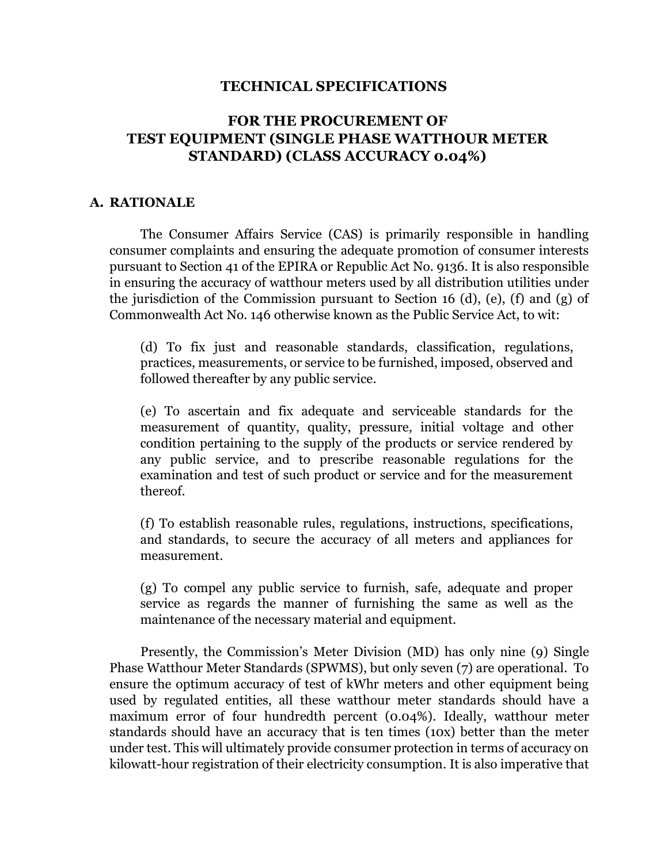### **TECHNICAL SPECIFICATIONS**

# **FOR THE PROCUREMENT OF TEST EQUIPMENT (SINGLE PHASE WATTHOUR METER STANDARD) (CLASS ACCURACY 0.04%)**

#### **A. RATIONALE**

The Consumer Affairs Service (CAS) is primarily responsible in handling consumer complaints and ensuring the adequate promotion of consumer interests pursuant to Section 41 of the EPIRA or Republic Act No. 9136. It is also responsible in ensuring the accuracy of watthour meters used by all distribution utilities under the jurisdiction of the Commission pursuant to Section 16 (d), (e), (f) and (g) of Commonwealth Act No. 146 otherwise known as the Public Service Act, to wit:

(d) To fix just and reasonable standards, classification, regulations, practices, measurements, or service to be furnished, imposed, observed and followed thereafter by any public service.

(e) To ascertain and fix adequate and serviceable standards for the measurement of quantity, quality, pressure, initial voltage and other condition pertaining to the supply of the products or service rendered by any public service, and to prescribe reasonable regulations for the examination and test of such product or service and for the measurement thereof.

(f) To establish reasonable rules, regulations, instructions, specifications, and standards, to secure the accuracy of all meters and appliances for measurement.

(g) To compel any public service to furnish, safe, adequate and proper service as regards the manner of furnishing the same as well as the maintenance of the necessary material and equipment.

Presently, the Commission's Meter Division (MD) has only nine (9) Single Phase Watthour Meter Standards (SPWMS), but only seven (7) are operational. To ensure the optimum accuracy of test of kWhr meters and other equipment being used by regulated entities, all these watthour meter standards should have a maximum error of four hundredth percent (0.04%). Ideally, watthour meter standards should have an accuracy that is ten times (10x) better than the meter under test. This will ultimately provide consumer protection in terms of accuracy on kilowatt-hour registration of their electricity consumption. It is also imperative that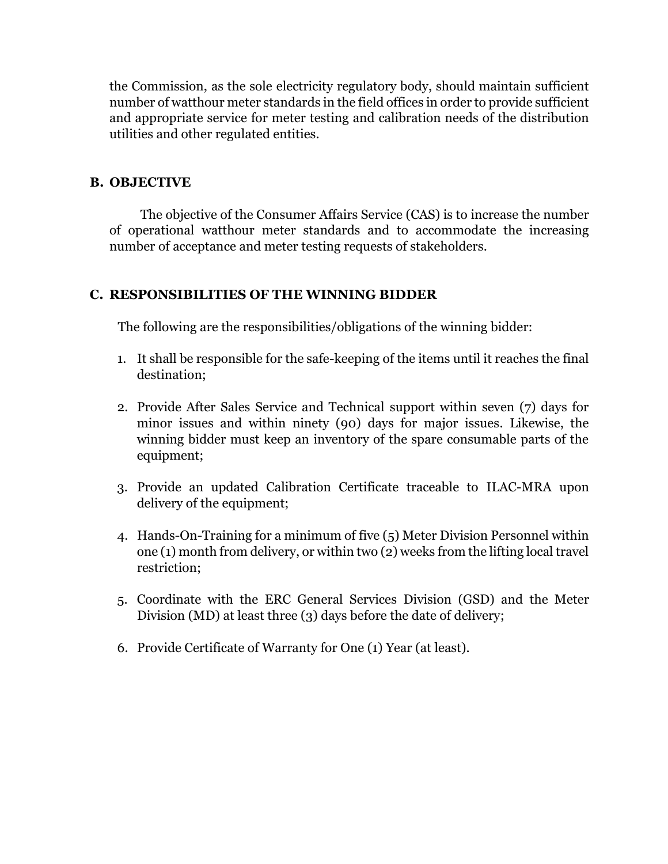the Commission, as the sole electricity regulatory body, should maintain sufficient number of watthour meter standards in the field offices in order to provide sufficient and appropriate service for meter testing and calibration needs of the distribution utilities and other regulated entities.

## **B. OBJECTIVE**

The objective of the Consumer Affairs Service (CAS) is to increase the number of operational watthour meter standards and to accommodate the increasing number of acceptance and meter testing requests of stakeholders.

## **C. RESPONSIBILITIES OF THE WINNING BIDDER**

The following are the responsibilities/obligations of the winning bidder:

- 1. It shall be responsible for the safe-keeping of the items until it reaches the final destination;
- 2. Provide After Sales Service and Technical support within seven (7) days for minor issues and within ninety (90) days for major issues. Likewise, the winning bidder must keep an inventory of the spare consumable parts of the equipment;
- 3. Provide an updated Calibration Certificate traceable to ILAC-MRA upon delivery of the equipment;
- 4. Hands-On-Training for a minimum of five (5) Meter Division Personnel within one (1) month from delivery, or within two (2) weeks from the lifting local travel restriction;
- 5. Coordinate with the ERC General Services Division (GSD) and the Meter Division (MD) at least three (3) days before the date of delivery;
- 6. Provide Certificate of Warranty for One (1) Year (at least).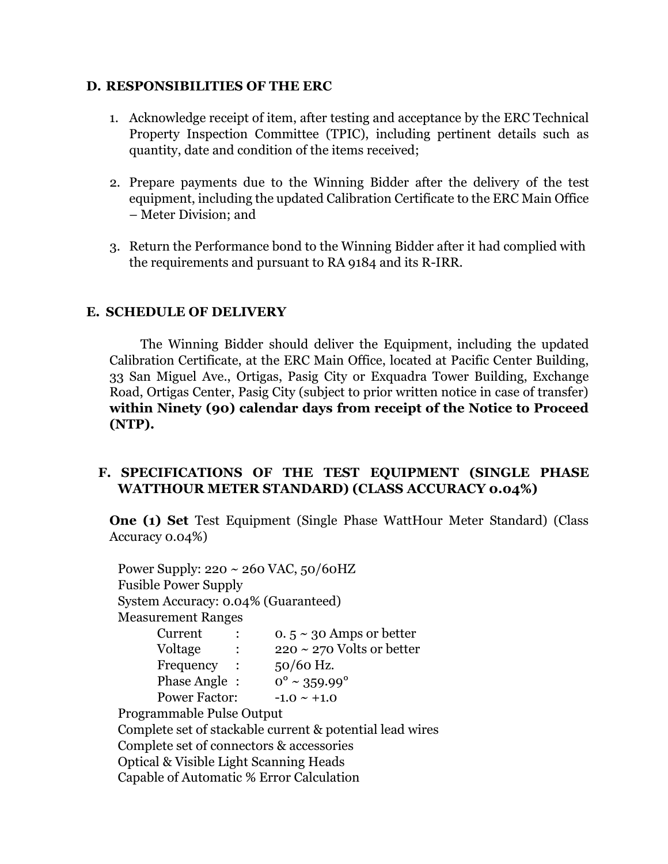### **D. RESPONSIBILITIES OF THE ERC**

- 1. Acknowledge receipt of item, after testing and acceptance by the ERC Technical Property Inspection Committee (TPIC), including pertinent details such as quantity, date and condition of the items received;
- 2. Prepare payments due to the Winning Bidder after the delivery of the test equipment, including the updated Calibration Certificate to the ERC Main Office – Meter Division; and
- 3. Return the Performance bond to the Winning Bidder after it had complied with the requirements and pursuant to RA 9184 and its R-IRR.

# **E. SCHEDULE OF DELIVERY**

The Winning Bidder should deliver the Equipment, including the updated Calibration Certificate, at the ERC Main Office, located at Pacific Center Building, 33 San Miguel Ave., Ortigas, Pasig City or Exquadra Tower Building, Exchange Road, Ortigas Center, Pasig City (subject to prior written notice in case of transfer) **within Ninety (90) calendar days from receipt of the Notice to Proceed (NTP).**

# **F. SPECIFICATIONS OF THE TEST EQUIPMENT (SINGLE PHASE WATTHOUR METER STANDARD) (CLASS ACCURACY 0.04%)**

**One (1) Set** Test Equipment (Single Phase WattHour Meter Standard) (Class Accuracy 0.04%)

Power Supply: 220 ~ 260 VAC, 50/60HZ Fusible Power Supply System Accuracy: 0.04% (Guaranteed) Measurement Ranges Current :  $0.5 \sim 30$  Amps or better Voltage :  $220 \sim 270$  Volts or better Frequency : 50/60 Hz. Phase Angle:  $0^{\circ} \sim 359.99^{\circ}$ Power Factor:  $-1.0 \sim +1.0$ Programmable Pulse Output Complete set of stackable current & potential lead wires Complete set of connectors & accessories Optical & Visible Light Scanning Heads Capable of Automatic % Error Calculation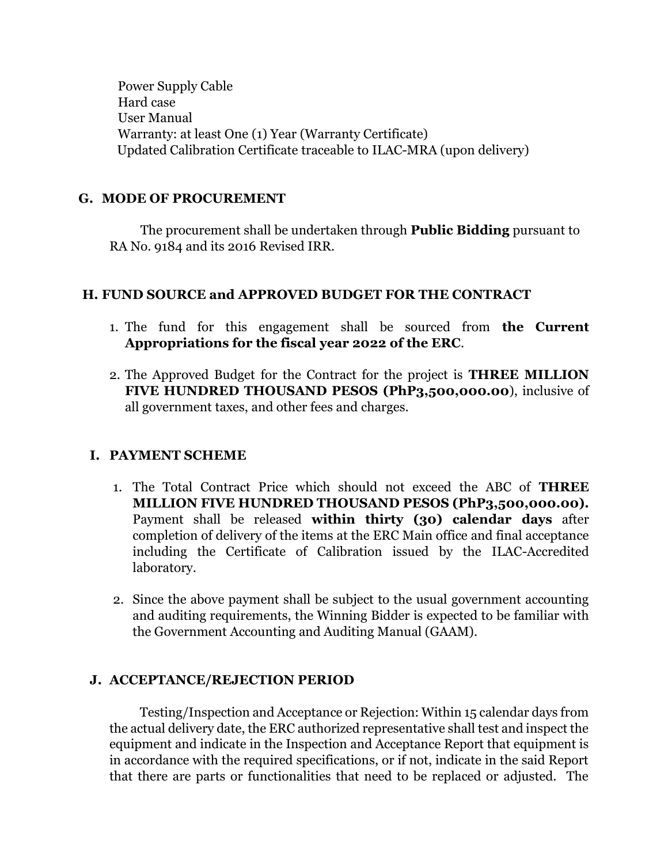Power Supply Cable Hard case User Manual Warranty: at least One (1) Year (Warranty Certificate) Updated Calibration Certificate traceable to ILAC-MRA (upon delivery)

## **G. MODE OF PROCUREMENT**

The procurement shall be undertaken through **Public Bidding** pursuant to RA No. 9184 and its 2016 Revised IRR.

## **H. FUND SOURCE and APPROVED BUDGET FOR THE CONTRACT**

- 1. The fund for this engagement shall be sourced from **the Current Appropriations for the fiscal year 2022 of the ERC**.
- 2. The Approved Budget for the Contract for the project is **THREE MILLION FIVE HUNDRED THOUSAND PESOS (PhP3,500,000.00**), inclusive of all government taxes, and other fees and charges.

## **I. PAYMENT SCHEME**

- 1. The Total Contract Price which should not exceed the ABC of **THREE MILLION FIVE HUNDRED THOUSAND PESOS (PhP3,500,000.00).** Payment shall be released **within thirty (30) calendar days** after completion of delivery of the items at the ERC Main office and final acceptance including the Certificate of Calibration issued by the ILAC-Accredited laboratory.
- 2. Since the above payment shall be subject to the usual government accounting and auditing requirements, the Winning Bidder is expected to be familiar with the Government Accounting and Auditing Manual (GAAM).

## **J. ACCEPTANCE/REJECTION PERIOD**

Testing/Inspection and Acceptance or Rejection: Within 15 calendar days from the actual delivery date, the ERC authorized representative shall test and inspect the equipment and indicate in the Inspection and Acceptance Report that equipment is in accordance with the required specifications, or if not, indicate in the said Report that there are parts or functionalities that need to be replaced or adjusted. The